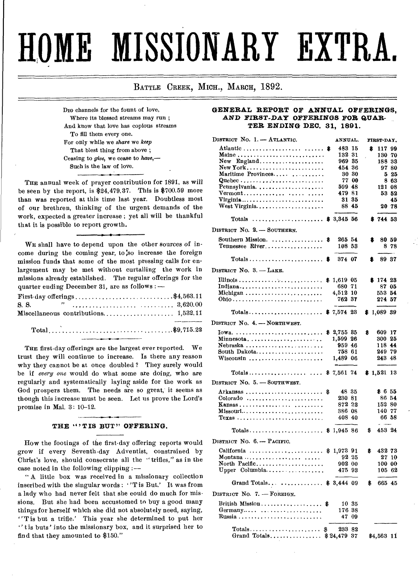# **HOME MISSIONARY EXTRA.**

BATTLE CREEK, MICH., MARCH, 1892.

DIG channels for the fount of love. Where its blessed streams may run ; And know that love has copious streams To fill them every one. For only while we *share* we *keep*  That blest thing from above ; Ceasing to *give,* we cease to *have,—* Such is the law of love.

THE annual week of prayer contribution for 1891, as will be seen by the report, is \$24,479.37. This is \$700.59 more than was reported at this time last year. Doubtless most of our brethren, thinking of the urgent demands of the work, expected a greater increase ; yet all will be thankful that it is possible to report growth.

WE shall have to depend upon the other sources *of* income during the coming year, to so increase the foreign mission funds that some of the most pressing calls for enlargement may be met without curtailing the work in missions already established. The regular offerings for the quarter ending December 31, are as follows :—

| First day offerings\$4,563.11                                                                                                                                                                                                                                                                                                                 |  |
|-----------------------------------------------------------------------------------------------------------------------------------------------------------------------------------------------------------------------------------------------------------------------------------------------------------------------------------------------|--|
| <b>S. S.</b> $\cdots$ $\cdots$ $\cdots$ $\cdots$ $\cdots$ $\cdots$ $\cdots$ $\cdots$ $\cdots$ $\cdots$ $\cdots$ $\cdots$ $\cdots$ $\cdots$ $\cdots$ $\cdots$ $\cdots$ $\cdots$ $\cdots$ $\cdots$ $\cdots$ $\cdots$ $\cdots$ $\cdots$ $\cdots$ $\cdots$ $\cdots$ $\cdots$ $\cdots$ $\cdots$ $\cdots$ $\cdots$ $\cdots$ $\cdots$ $\cdots$ $\cd$ |  |
|                                                                                                                                                                                                                                                                                                                                               |  |
|                                                                                                                                                                                                                                                                                                                                               |  |
|                                                                                                                                                                                                                                                                                                                                               |  |

THE first-day offerings are the largest ever reported. We trust they will continue to increase. Is there any reason why they cannot be at once doubled ? They surely would be if *every one* would do what some are doing, who are regularly and systematically laying aside for the work as God prospers them. The needs are so great, it seems as though this increase must be seen. Let us prove the Lord's promise in Mal. 3: 10-12.

#### THE "'TIS BUT" OFFERING.

How the footings of the first-day offering reports would grow if every Seventh-day Adventist, constrained by Christ's love, should consecrate all the "trifles," as in the case noted in the following clipping :-

" A little box was received in a missionary collection inscribed with the singular words : "T is But.' It was from a lady who had never felt that she could do much for missions. But she had been accustomed to buy a good many things for herself which she did not absolutely need, saying, "T is but a trifle.' This year she determined to put her " t is buts' into the missionary box, and it surprised her to find that they amounted to \$150."

#### **GENERAL REPORT OF ANNUAL OFFERINGS,**  *AND FIRST-DAY* **OFFERINGS FOR QUAR-TER ENDING DEC. 31, 1891.**

| DISTRICT No. 1. - ATLANTIC.                                              | ANNUAL.              |       |    | FIRST-DAY.                                  |       |
|--------------------------------------------------------------------------|----------------------|-------|----|---------------------------------------------|-------|
|                                                                          | 483 15               |       | \$ | 117 99                                      |       |
|                                                                          | 132 31               |       |    | 130 70                                      |       |
| New England                                                              | 969 35               |       |    | 188 33                                      |       |
| New York                                                                 | 454 36               |       |    |                                             | 97 80 |
| Maritime Provinces                                                       |                      | 30 30 |    |                                             | 525   |
| Quebec                                                                   |                      | 77 00 |    |                                             | 8 63  |
| Pennsylvania                                                             | 599 48               |       |    | 121 08                                      |       |
| $Vermont \ldots \ldots \ldots \ldots \ldots \ldots \ldots$               | 479 81               |       |    |                                             | 53 52 |
|                                                                          |                      | 31 35 |    |                                             | 45    |
| West Virginia                                                            |                      | 88 45 |    |                                             | 20 78 |
| $\cdots \cdots \cdots \cdots \cdots \cdots \cdots$ \$ 3,345 56<br>Totals |                      |       |    | \$74453                                     |       |
| DISTRICT No. 2. - SOUTHERN.                                              |                      |       |    |                                             |       |
|                                                                          |                      |       |    |                                             |       |
| Southern Mission.                                                        | \$<br>265 54         |       | 8  | 80 59                                       |       |
| Tennessee River                                                          | 108 53               |       |    |                                             | 878   |
| Totals \$                                                                | 374 07               |       | 8  | 89 37                                       |       |
| DISTRICT No. 3. - LAKE.                                                  |                      |       |    |                                             |       |
|                                                                          |                      |       |    | \$17423                                     |       |
| Indjana                                                                  | \$1,619 05<br>680 71 |       |    | 87 05                                       |       |
| Michigan                                                                 | 4,512 10             |       |    | 553 54                                      |       |
|                                                                          | 762 37               |       |    | 274 57                                      |       |
|                                                                          |                      |       |    |                                             |       |
| $Totals$                                                                 | $$7,574$ 28          |       |    | \$1,089 39                                  |       |
| DISTRICT No. 4. - NORTHWEST.                                             |                      |       |    |                                             |       |
|                                                                          | \$ 2,755 85          |       | \$ | 609 17                                      |       |
| $Minnessota, \ldots, \ldots, \ldots, \ldots, \ldots$                     | 1,599 26             |       |    | 300 25                                      |       |
| Nebraska                                                                 | 959 46               |       |    | 118 44                                      |       |
| South Dakota                                                             | 758 61               |       |    | 249 79                                      |       |
| $W$ isconsin                                                             | 1,489 06             |       |    | 243 48                                      |       |
|                                                                          |                      |       |    |                                             |       |
| Totals \$ 7,561 74                                                       |                      |       |    | \$1,521 13                                  |       |
| DISTRICT No. 5. - SOUTHWEST.                                             |                      |       |    |                                             |       |
|                                                                          | \$<br>48 35          |       |    | \$655                                       |       |
| Colorado                                                                 | 230 81               |       |    | 86 54                                       |       |
| Kansas                                                                   | 872 22               |       |    | 152 80                                      |       |
|                                                                          | 386 08               |       |    | 140 77                                      |       |
| Texas                                                                    | 408 40               |       |    | 66 58                                       |       |
| Totals \$ 1,945 86                                                       |                      |       | \$ | $\overline{a}$ and $\overline{a}$<br>453 24 |       |
|                                                                          |                      |       |    |                                             |       |
| DISTRICT No. 6. - PACIFIC.                                               |                      |       |    |                                             |       |
| California                                                               | \$<br>1,973 91       |       | \$ | 432 73                                      |       |
| Montana                                                                  |                      | 92 25 |    |                                             | 27,10 |
| North Pacific                                                            | 902 00               |       |    | 100 00                                      |       |
| Upper Columbia                                                           | 475 93               |       |    | 105 62                                      |       |
| Grand Totals  \$ 3,444 09                                                |                      |       | \$ | 66545                                       |       |
| DISTRICT No. 7. - FOREIGN.                                               |                      |       |    |                                             |       |
|                                                                          |                      |       |    |                                             |       |
| British Mission \$                                                       | 176 38               | 10 35 |    |                                             |       |
| $Germany \ldots \ldots \ldots \ldots \ldots$                             |                      | 47 09 |    |                                             |       |
|                                                                          |                      |       |    |                                             |       |
|                                                                          | 233 82               |       |    |                                             |       |
| Grand Totals \$24,479 37                                                 |                      |       |    | \$4,563 11                                  |       |
|                                                                          |                      |       |    |                                             |       |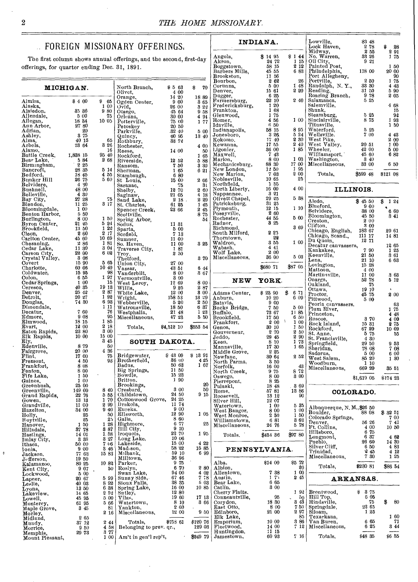### FOREIGN MISSIONARY OFFERI

The first column shows annual offerings, and the se offerings, for quarter ending Dec. 31, 1891.

| ARY OFFERINGS.                         |                                    |                                    |                                 | INDIANA.               |                       | Lowville,<br>Lock Haven,                                        | 83 48<br>278     | 28           |
|----------------------------------------|------------------------------------|------------------------------------|---------------------------------|------------------------|-----------------------|-----------------------------------------------------------------|------------------|--------------|
|                                        |                                    |                                    |                                 |                        |                       | Midway,                                                         | 255              | 291          |
| fferings, and the second, first-day    |                                    |                                    | Angola,<br>Akron,               | \$1495<br>24 72        | \$144<br>1 15         | No. Warren,                                                     | 33 26<br>9 21    | 175          |
| 31, 1891.                              |                                    |                                    | Boggstown,                      | 58 15                  | 212                   | Oil City,<br>Painted Post,                                      |                  | 150          |
|                                        |                                    |                                    | Barbers Mills,<br>Brookston,    | 45 55<br>11 56         | 6 83                  | Philadelphia,<br>Port Allegheny,                                | 118 00           | 20 00<br>90  |
|                                        |                                    |                                    | Bourbon,                        | 262<br>5 00            | 26<br>1 48            | Portville,<br>Randolph, N.Y.,                                   | 250<br>33 30     | 175<br>4 4 3 |
| North Branch,<br>Olivet,               | \$563<br>-4 00                     | \$<br>70                           | Corunna.<br>Denver,             | 15 61                  | 2 20                  | Reading,<br>Roaring Branch,                                     | 31 50            | 5 90         |
| Orange.                                | $14\,20$                           | 1889                               | Dugger,                         | 625<br>22 10           | 2 4 0                 | Salamanca,                                                      | 978<br>5 25      | 205          |
| Ogden Center,<br>Ovid,                 | 900<br>26 00                       | $\frac{3}{8}\frac{65}{22}$<br>9 58 | Farmersburg,<br>Fredericksburg, | 120                    |                       | Salemville.                                                     |                  | 468          |
| Otsego,                                | 45 64                              |                                    | Frankton,                       | 1 68<br>175            |                       | Shunk,<br>Steamburg,                                            | 5 25             | 15<br>92     |
| Orleans.<br>Potterville,               | 30 00<br>75 00                     | 494<br>177                         | Glenwood,<br>Homer,             | 4 56                   | 1 00                  | Sinclairville,                                                  | 8 75             | 193          |
| Petoskev                               | 20 50                              |                                    | Idaville,<br>Indianapolis,      | 650<br>58 15           | 895                   | Titusville,<br>Waterford,                                       | 5 25             | 150          |
| Parkville,<br>Quincy,                  | $.32\;40$<br>60 95                 | 5 00<br>13 40                      | Jonesboro,                      | - 326                  | 5 24                  | Wellsville.                                                     | 700              | 448          |
| Rothbury,                              | 33 72                              |                                    | Kokomo,<br>Kewanna,             | 17.40<br>17 55         | 2 30<br>240           | West Pike,<br>West Valley,                                      | 20 51            | 2 00<br>1 00 |
| Rochester,<br>Reese,                   | 14 00                              | 4 00<br>50                         | Ligonier,                       | 36 00                  | 185                   | Wheeler,                                                        | 42 00            | 5 00         |
| Rockford,                              |                                    | 1 65                               | Maxwell,<br>Marion,             | 743<br>8 00            | 1 03                  | Williamsport, 45 60<br>Washington, 8 40<br>Miscellaneous, 83 00 |                  | 682          |
| Riverside,<br>Ransom,                  | 12 52<br>750                       | 588<br>3 30                        | Mechanicsburg,                  | 88 30                  | 17 00                 |                                                                 |                  | 6 50         |
| Sherman,                               | 1 65                               | 621                                | New London,                     | 1350<br>- 7 03         | 1 95<br>200           | Totals,                                                         | \$599 48         | \$121 08     |
| Stambaugh,<br>St Louis,                | 6 80<br>15 00                      | 266                                | Noblesville,                    | 10 65                  | 25                    |                                                                 |                  |              |
| Saranac,                               | 75                                 | 31                                 | Northfield,                     | 155<br>16 00           | 4 00                  |                                                                 |                  |              |
| Shelby,<br>Saginaw,                    | 12 70<br>21 05                     | 2 60<br>4 18                       | North Liberty,<br>Nappannee,    | 321                    |                       |                                                                 | ILLINOIS.        |              |
| Sand Lake,                             | 2 1 8                              | 2 29                               | Olivett Chapel,                 | 29 25                  | 538                   | Aledo,                                                          | \$4550           | 124<br>\$    |
| St. Charles,<br>Spencer Creek,         | 61 25<br>23 66                     | 145<br>2 45                        | Patricksburg,<br>Plymouth,      | 31 25<br>12 15         | 110                   | Blueford,                                                       | 900              |              |
| Scottville,                            |                                    | 8 75                               | Poseyville.                     | $2\,$ 60<br>44 55      | 5 00                  | Belvidere,<br>$B$ loomington,                                   | 38 00<br>45 50   | 6 60<br>341  |
| Spring Arbor,<br>Sodus,                | 11 31                              | 54                                 | Rochester,<br>Radnor.           | 3 25                   |                       | Creston.                                                        | 2 00             |              |
| Sparta,                                | 5 00                               |                                    | Richmond,                       | 2 2 5                  | 369                   | Clifton.<br>Chicago, English, 183 67                            | 3 00             | 29 61        |
| Scofield,<br>Sumner,                   | 7 13<br>11 00                      |                                    | South Milford,<br>Thorntown,    | 28                     |                       | Chicago, Scand.,                                                | 111 17<br>12 71  | 1481         |
| <br>Traverse City,                     | 11 00                              | 3 25                               | Waldron.                        | 3 55<br>4 41           | 1 00                  | Du Quoin,<br>Decatur canvassers,                                |                  | 1265         |
|                                        | 181<br>2 50                        |                                    | Wabash.<br>Wolf Lake.           | 200                    |                       | Economics<br>Kankakee,<br>Lena,<br>Lovington,<br>Mattoon,       | 7 90<br>21 50    | 125          |
| Troy<br>Thetford,                      |                                    | 370                                | Miscellaneous,                  | 36 00                  | 5 03                  |                                                                 | 21 10            | 361<br>663   |
| Ùnion City,<br>Vassar,<br>Vanderbilt,  | 27 00<br>43 51                     | 6 44                               |                                 | \$680 71               | \$87 05               |                                                                 | 15 28<br>4 00    |              |
|                                        | 8 00                               | 867                                |                                 |                        |                       | Martinsville,<br>Onarge                                         | 11 00            | 363          |
| Vermontville,<br>West Leroy,           | 3 00<br>12 69                      | 8 00                               | NEW                             | YORK.                  |                       | Onarga,<br>Oakland,                                             | 5278<br>75       | 5 12         |
| Willis,                                | 925                                | 287                                |                                 |                        |                       | Ottawa,                                                         | 19 10            |              |
| White Lake,<br>Wright,                 | 12 00<br>158 53                    | 3 00<br>13:9                       | Adams Center,<br>Anburn,        | \$23 90<br>$10\,20$    | \$671<br>6 09         | Proctor,<br>Pittwood,                                           | 45 75<br>5 60    | 200          |
| Webberville,                           | 520                                | 250                                | Batavia,                        | $9\,00$                |                       | Peoria canvassers,                                              |                  | 63           |
| Watrousville,<br>Westphalia,           | 18 50<br>21 48                     | 6 37<br>123                        | Bucks Bridge,<br>Buffalo,       | 750<br>73 67           | 5 00<br>1185          | Plum River,<br>Princeton,                                       |                  | 1 75         |
| Miscellaneous,                         | 4723                               | 5 50                               | Brookfield,                     | 1750                   | 6 50<br>$\mathcal{A}$ | Roscoe,                                                         | 370              | 4 48<br>4 00 |
| Totals,                                | \$4,512 10                         | \$553 54                           | Frankfort,<br>Genoa,            | 2 00<br>$30\text{ }10$ | 1 00<br>1 50          | Rock Island,<br>Rockford,<br>St. Anne                           | 15 31<br>67 20   | 275<br>10 09 |
|                                        |                                    |                                    | Gouverneur,                     | 270                    | 2 50                  | Rochard<br>St. Anne,<br>St. Francisville,                       | 5 75             | 55           |
|                                        | SOUTH DAKOTA.                      |                                    | Jeddo,<br>Keen,                 | 29 45<br>8 10          | 2 90<br>178           |                                                                 | 4 30<br>29 50    | 953          |
|                                        |                                    |                                    | Mannsville,                     | 17 30                  | 1 65                  | Sheridan,                                                       | 78 08            | 7 08         |
| Bridgewater,                           | \$4809                             | \$1391                             | Middle Grove,<br>Newfane,       | 225<br>30 64           | 252                   | Sadorus,                                                        | 5 00<br>85 20    | 6 00         |
| Brotherfield,                          | 36 00<br>50 63                     | 4 25<br>167                        | North Parma,                    | 850                    |                       | West Salem,<br>Woodburn,                                        | 1 10             | 1 30         |
| Badus,<br>Big Springs,                 | 11 50                              |                                    | Norfolk,<br>North Creek,        | 16 00<br>975           | 43<br>872             | Miscellaneous,                                                  | 669 20           | 35 51        |
| Bowdle,                                | 15 23<br>1 90                      |                                    | Oswego,                         | 8 00                   | 3 00                  |                                                                 | \$1,619 05       | \$17423      |
| Britton,<br>Brookings,                 |                                    | 20                                 | Pierrepont,<br>Pulaski,         | 8 25<br>18 48          | 369                   |                                                                 |                  |              |
| Cresbard,                              | 3 00<br>24 50                      | 50<br>915                          | Rome.                           | 5781                   | 13 86                 |                                                                 | COLORADO.        |              |
| Childstown,<br>Cottonwood Grove, 24 25 |                                    |                                    | Roosevelt,<br>Silver Hill,      | 13 12<br>12 07         | 90                    |                                                                 |                  |              |
| Drakola,                               | 11 74                              |                                    | Watertown,                      | 100                    | 535                   | Albuquerque, N. M., \$26 50                                     |                  |              |
| Eureka.<br>Ellsworth,                  | 900<br>12 90                       | 1 05                               | West Bangor,<br>West Monroe,    | 8 00<br>2 50           | 100<br>150            | Boulder,                                                        | 88 08            | \$32 51      |
| Galla,                                 | 8 60                               |                                    | Williamstown,                   | 681                    | 362                   | Colorado Springs,<br>Denver,                                    | 56 26            | 700<br>741   |
| Highmore,<br>Hill City,                | 6 77<br>910                        | 25                                 | Miscellaneous,                  | 24 76                  | 578                   | Ft. Collins,                                                    | 4 00             | 10 50        |
| Iroquois,                              | 23 70                              | 195                                | Totals.                         | \$451 36               | \$97 80               | Hillsboro,<br>${\rm Longmont,}$                                 | 675<br>637       | 4 62         |
| Long Lake,<br>Lakeside,                | 10 06<br>15 00                     | 422                                |                                 |                        |                       | Pueblo,                                                         | 26 60            | 14 30        |
| Mad son,                               | 58 22                              | 1585                               | PENNSYLVANIA.                   |                        |                       | Silver Cliff,<br>Trinidad,                                      | 650<br>245       | 483<br>412   |
| Milbank,<br>Milltown,                  | 59 10<br>36 96                     | 699                                |                                 |                        |                       | Miscellaneous.                                                  | 7 30             | 1 25         |
| Parker,                                | 975                                |                                    | Alba,                           | \$14 00                | S5 72                 |                                                                 |                  |              |
| Roslyn,<br>Swan Lake,                  | 6 70<br>94 00                      | 280<br>4 02                        | Albion,<br>Allentown,           | $7\,38$                | 20<br>100             | Totals,                                                         | \$23081          | \$86 54      |
| Sunny Side,                            | 67 46                              | 7.78                               | Austin,                         | 175                    | 245                   |                                                                 | <b>ARKANSAS.</b> |              |
| Sioux Falls,<br>Spring Lake,           | 38 35<br>16 00                     | 5 03<br>10 85                      | Bear Lake,<br>Catlin,           | 6 65<br>3 00           |                       |                                                                 |                  |              |
| Sutley,                                | 1280                               |                                    | Cherry Flatts.                  |                        | 192                   | Brentwood,                                                      | 8 75<br>S        |              |
| Vilas,                                 | 19 60<br>8 10                      | 17 13<br>366                       | Conneautville,<br>Corydon,      | 95<br>18 30            | ō0<br>3 43            | Hill Top,<br>Hindsville,                                        | 605<br>75        | 80<br>\$     |
| Watertown,<br>Yankton,                 | 2 60                               |                                    | East Otto,                      | 8 0 0                  | 750                   | Springdale,                                                     | 2365             |              |
| Miscellaneous,                         | 12 00                              | 9 50                               | Edinboro,<br>Elk Lake,          | 21 00                  | 297<br>85             | Siloam,<br>Texarkana,                                           | 125              | 160          |
| Totals,                                | \$758 61                           | \$120 76                           | Emporium,                       | 10 00                  | 386                   | Van Buren,                                                      | 665              | 71           |
| Belonging to prev. qr.,                |                                    | 129 03                             | Fleetwood,<br>Huntingdon,       | 14 00<br>11 15         | 712                   | Miscellaneous,                                                  | 625              | 344          |
|                                        | Am't in gen'l rep't,<br>$\epsilon$ | \$249 79                           | Jamestown,                      | 6093                   | 7.16                  | Totals,                                                         | \$48 35          | \$655        |

Almira,

Ashley, Alma, Arbela, Alamo,<br>Battle Creek, Bear Lake,<br>Birmingham,<br>Bancroft,

Alaska,<br>Alaiedon,<br>Allendale,<br>Allegan,<br>Aun Arbor,<br>Adrian,

**MICHIGAN.** 

\$ 4 00 8 65  $\begin{bmatrix} 1 & 00 \\ 9 & 80 \end{bmatrix}$ 

5 84 2 68

 $\begin{array}{r} 8\ 00 \ 21\ 25 \ 13\ 50 \ 260 \ 21\ 22 \ 260 \ 217 \ 256 \ 266 \ 277 \ 286 \ 296 \ 218 \ 220 \ 220 \ 220 \end{array}$ 

15 90 5 65 60 06 10 40 15 95 98  $\begin{array}{cc}\n 655 \\
 107 \\
 100\n \end{array}$  $\begin{array}{cccc} 1 & 00 & & 15 \\ 40 & 35 & & 19 & 13 \\ 25 & 42 & & 2 & 87 \\ 20 & 27 & & 1 & 92 \\ 74 & 30 & & 6 & 93 \end{array}$ 

 $\begin{array}{cccc} 18 & 15 & & 185 \\ 12 & 00 & & 218 \\ 23 & 80 & & 300 \\ 10 & 00 & & 15 & 00 \\ 8 & 79 & & 50 & 0 \\ 32 & 000 & & 4 & 36 \\ 17 & 00 & & 4 & 36 \\ 17 & 00 & & 75 & 93 \\ \end{array}$ 

 $\begin{array}{l} 8\ 08 \\ 1\ 00 \\ 1\ 00 \\ 25\ 00 \\ 22\ 0 \\ 23\ 13 \\ 11\ 0 \\ 0 \end{array} \quad \ \ 8\ 40 \\ 8\ 40 \\ 2\ 99 \\ 99$ 

 $\begin{array}{r}34\ 00 \ 25 \ 25 \ 150 \ 1887 \ 327 \ 1401 \ 1588 \ 387 \ 1401 \ 1587 \ 5000 \ 706 \ 900 \ 8146 \end{array}$  $\begin{array}{r} 250 \\ 37 \ 78 \\ 14 \ 01 \\ 38 \ 83 \\ 50 \ 00 \\ 9 \ 00 \\ 77 \ 63 \\ \end{array} \quad \begin{array}{r} 25 \\ 8 \ 87 \\ 3 \ 87 \\ 2 \ 76 \\ 7 \ 63 \\ \end{array}$ 

 $\begin{array}{c} 9\ 07 \ 5\ 00 \ 20\ 67 \ 6\ 99 \ 40\ 03 \ 6\ 92 \end{array}$ 

13 50 6 38 14 65 2 52 45 95 5 00 61 95 5 66  $\frac{14}{15}$   $\frac{65}{15}$   $\frac{95}{15}$   $\frac{5}{15}$   $\frac{65}{15}$   $\frac{5}{15}$   $\frac{65}{15}$   $\frac{5}{15}$   $\frac{65}{15}$   $\frac{65}{15}$   $\frac{65}{15}$   $\frac{65}{15}$   $\frac{65}{15}$   $\frac{65}{15}$   $\frac{65}{15}$   $\frac{65}{15}$   $\frac{65}{15}$   $\frac{65}{15}$   $\frac{65}{1$ 

37 12 2 44 9 50 4 58 29 73 3 77 1 00

 $\frac{10}{50}$ 

2 16

 $\begin{array}{c} 77 & 63 \\ 19 & 50 \\ 80 & 25 \\ 9 & 07 \end{array}$ 

 $\begin{array}{c} 2\ 65 \\ 37\ 12 \end{array}$ 

 $\frac{1}{76}$  $\begin{array}{cc} 7 & 60 \\ 9 & 08 \end{array} \qquad \quad \begin{array}{cc} 76 \\ 95 \end{array}$ 

3 08

 $\begin{array}{r} 35 \ 36 \\ 5 \ 00 \\ 18 \ 34 \end{array}$  $\begin{array}{r} 5 \ 00 \ 18 \ 34 \ 10 \ 05 \end{array}$ 27 80 20  $\begin{array}{c} 8\text{ }75 \\ 40\text{ }15 \end{array}$ 40 15 65 23 64 3 26 16

1,838 15

Bedford, Bunker Hill Belvidere, Bushnell, Belleville,

Bay City, Blendon, Bloomingdale, Benton Harbor, Burlington, Byron Center, Brookfield,

Cleon, Carlton Center, Chesaning, Cedar Lake, Carson City, Crystal Valley, Covert

Gaines, Green bush, Greenville, Grand Rapids,

Gowen, Grandville, Hazelton,

Holly,<br>Hoytville,<br>Hanover,<br>Hillsdale, Hastings, Imlay City, Ithaca, Ionia, Jackson, Jefferson, Kalamazoo, Kent City, Lockwood, Lapeer, Leslie, Lyons, Lakeview, Lowell, **Monterey** Maple Grove, Morley, Midland, Mundy, Morrice, Memphis, Mount Pleasant,

ą,

Charlotte, Coldwater, Colon, Cedar Springs, Ceresco, Denver, Detroit, Douglas,<br>Dimondale, Decatur, Edmore, Elmwood, Evart, Eaton Rapids, Elk Rapids, Ely,<br>Edenville, Fairgrove, Flint. Fremont, Frankfort, Fenton, Fife Lake,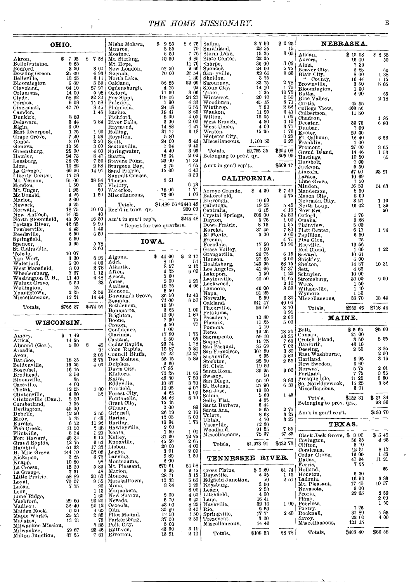## *THE HOME MISSIONARY.* 3

| OHIO.                                |                | Misha Mokwa,                                     | \$925                                     | \$275                                             | Salina,                                                          | \$750                           | \$2.25                                                        |                                                                   | <b>NEBRASKA.</b>                        |                                                       |                                                           |
|--------------------------------------|----------------|--------------------------------------------------|-------------------------------------------|---------------------------------------------------|------------------------------------------------------------------|---------------------------------|---------------------------------------------------------------|-------------------------------------------------------------------|-----------------------------------------|-------------------------------------------------------|-----------------------------------------------------------|
|                                      |                |                                                  | Munroe,<br>Mosinee,                       | 5 85<br>6 50                                      | 70<br>٣<br>76<br>4 85                                            | Smithland,<br>Storm Lake,       | 22 35<br>15 35<br>22 25                                       | 15<br>3 05                                                        | Albian,                                 | \$1508                                                | \$855                                                     |
| Akron,<br>Bellefontaine.             | \$795<br>9 65  | \$758                                            | Mt. Sterling,<br>Mt. Hope,<br>New London, | 12 50                                             | 11 70                                                            | State Center.<br>sharpe,        | 30 00                                                         | 300                                                               | Aurora, .<br>Alma,                      | 16 00<br>730                                          | 50                                                        |
| Bedford,<br>Bowling Green,           | 3 50<br>21 00  | 3 00<br>4 93                                     | Neenah,                                   | 57 50<br>70 00                                    | 9 66<br>27 54                                                    | Spencer.<br>San yville,         | 24 00<br>22 65                                                | $\begin{smallmatrix} 5 & 75 \\ 9 & 85 \end{smallmatrix}$          | Beaver City,<br>Blair City,<br>"County, | 6 25<br>8 00                                          | 60<br>1 38                                                |
| Belleville,<br>Bloomington           | 13 25<br>6 00  | 3 11<br>550                                      | North Lake,<br>Oakland,                   | 52 85                                             | 1 30<br>29 09                                                    | Sheldon,<br>Sigourney,          | 3 75<br>33 75                                                 | 2 78                                                              | Brownville,                             | 16 44<br>350                                          | 1 15<br>5 05                                              |
| Cleveland,<br>Columbus,              | 64 10<br>14 00 | 27 97<br>5 98                                    | Ogdensburgh,<br>Oxford,                   | 4 15<br>11 50                                     | 92<br>3 06                                                       | Sioux City,<br>Traer.           | 14 10<br>725                                                  | 175<br>10 73                                                      | Bloomiugton,                            | 1 00<br>290                                           | 65                                                        |
| Clyde,<br>Corsica,                   | 58 62<br>9 0 8 | 22 32<br>11 58                                   | Poy Sippi,<br>Pulcifer,<br>Plainfield,    | 119 06<br>7 00                                    | 24 27<br>4 33                                                    | Winterset,<br>Woodburn,         | 20 10<br>45 15                                                | 2 50<br>871                                                       | Butka,<br>Blue Valley,<br>Curtis,       | 45 35                                                 | $2\;18$                                                   |
| Cincinnati,<br>Camden,               | 47 70          | 8 45<br>1 45                                     | Racine,                                   | 24 18<br>18 41                                    | 555<br>3 66                                                      | Winthrop,<br>Waukon,            | 783<br>11 25                                                  | 282<br>$6\,41$                                                    | College View,<br>Culbertson,            | 403 56<br>11 50                                       |                                                           |
| Dunkirk,<br>Delaware,                | 880<br>544     | 584                                              | Richford,<br>River Falls,                 | 8 00<br>3 00                                      | 4 05<br>200                                                      | Wilton,<br>West Branch.         | 15 05<br>4 50                                                 | 1 00<br>4 10                                                      | Chadron,<br>Decatur,                    | 3373                                                  | 185<br>6 80                                               |
| Elgin,<br>East Liverpool,            | 6 00<br>175    | 1 90                                             | Raymond,<br>Rolling,                      | 14 88<br>31 71                                    | 427<br>6 18                                                      | West Union,<br>Westôn,          | 4 00<br>15 25                                                 | 3.77<br>176                                                       | Dunbar,<br>Exeter.                      | 700<br>29 00                                          |                                                           |
| Grape Grove.<br>Genoa,               | 7 20<br>3 00   | 1 26<br>2 20                                     | Royalton,<br>Scott,                       | 5 80<br>24 00                                     |                                                                  | Webster City.<br>Miscellaneous, | 1,100 53                                                      | 3 25<br>625                                                       | Ft. Calhoun,                            | 12 40                                                 | 6 56                                                      |
| Geneva.<br>Greensburg,               | 10 56<br>25 00 | 3 00<br>4 00                                     | Sextonville,<br>Springwater,              | 7 04<br>4 40                                      | $\begin{smallmatrix} 8 & 43 \\ 9 & 49 \end{smallmatrix}$<br>3 93 | Totals.                         | \$2,755 35                                                    | \$304 08                                                          | Franklin,<br>Fremont,                   | 1 00<br>27 00                                         | 3 05                                                      |
| Hamler,                              | 24 73          | 847<br>7 50                                      | Sparta,                                   | 18 64<br>29 00                                    | 202<br>11 39                                                     | Belonging to prev. qr.,         |                                                               | 305 09                                                            | Grand Island,<br>Hastings.              | 14 46<br>10 50                                        | 1 53<br>65                                                |
| Leesburg,<br>Lima,                   | 38 75<br>10 82 | 288                                              | Stevens Point,<br>Sturgeon Bay,           | 875                                               | 465                                                              | Am't in gen'l rep't.,           |                                                               | \$609 17                                                          | Humbolt,<br>Jackson,                    | 700<br>5 50                                           |                                                           |
| La Grange,<br>Liberty Center,        | 60 26<br>11 58 | 14 91                                            | Sand Prairie.<br>Summit Center,           | 15 00                                             | 4 40<br>3 30                                                     |                                 | CALIFORNIA.                                                   |                                                                   | Lincoln,<br>Lavaca,                     | 47 00<br>10 69                                        | 23 91                                                     |
| Mt. Vernon,<br>Mendon,<br>Mt. Unger, | 81 00<br>1 50  | 28 84<br>37                                      | Thorpe,<br>Victory,                       | 361                                               | 613                                                              |                                 |                                                               |                                                                   | Lime Grove,<br>Minden,                  | 7 50<br>16 50                                         | 14 63                                                     |
| McDonald,                            | 125<br>4 25    | 20<br>1 50                                       | Waterloo,<br>Miscellaneous,               | .1806<br>78 00                                    | 171<br>1 00                                                      | Arroyo Grande,<br>Bakersfield,  | \$430                                                         | $*740$<br>475                                                     | Manderson.<br>Mason City,               | 8 50<br>2 00                                          |                                                           |
| Marion.<br>Newark.                   | 2 00<br>925    |                                                  | Totals.                                   | \$1,489 06 ** 443 48                              |                                                                  | Burrough.<br>Calistoga,         | 10 00<br>1955                                                 | 5 45                                                              | Nebraska City,<br>North Loup,           | 3 27<br>16 02                                         | 110<br>189                                                |
| Norwalk,<br>New Antioch,             | 18 75<br>14 35 | 10 00<br>40                                      | Rec'd in prev. qr.,                       |                                                   | 200 00                                                           | Centralia,<br>Crystal Springs,  | 6 15<br>808 00                                                | 4 15<br>34 80                                                     | New Era,<br>Oxford,                     | 170                                                   | 50                                                        |
| North Bloomfield,<br>Portage River,  | 40 50<br>42 85 | 16 30<br>990                                     | Am't in gen'l rep't,                      |                                                   | \$243 48                                                         | Dayton,<br>Dows Prairie,        | 5 75<br>8 15                                                  | 1 0 0<br>1 05                                                     | Omaha,                                  | 9 28<br>5 00                                          |                                                           |
| Pemberville,                         | 4 4 3<br>250   | 1 4 8<br>4 50                                    | * Report for two quarters.                |                                                   |                                                                  | Eureka,                         | 37 45                                                         | 780                                                               | Plainview,<br>Platt Center,             | 611                                                   | 1 94                                                      |
| Reedsville,<br>Springfield,          | 650            |                                                  |                                           | IOWA.                                             |                                                                  | El Monte.<br>Fresno,            | 5 00                                                          | 200<br>4 71                                                       | Papillion,<br>Pine Glen,                | 250<br>$\begin{array}{c} 75 \\ 19 \ 56 \end{array}$   |                                                           |
| Spencer,<br>St. Clairsville,         | 365            | 578<br>3 60                                      |                                           |                                                   |                                                                  | Ferndale,<br>Grass Valley,      | 17 50<br>1 00                                                 | 20 90                                                             | Raeville,<br>Red Cloud,                 | 1 00                                                  | 1 22                                                      |
| Toledo,<br>Van Wert,                 | 10 07<br>3 00  | 6 20                                             | Algona,                                   | \$4400<br>8 10                                    | 8217<br>54                                                       | Grangeville,<br>Hanson,         | 26 75<br>27 85                                                | 615<br>6 00                                                       | Seward,<br>Shickley,                    | 10 61<br>5 00                                         |                                                           |
| Waterford,<br>West Mansfield,        | 5 00<br>3 00   | 4 00<br>278                                      | Adel.<br>Atlantic,                        | 857                                               | 2 12                                                             | Healdsburg,<br>Los Angeles,     | 145 95<br>41 06                                               | $\frac{28}{37}\frac{15}{37}$                                      | Shelton,<br>Sett.                       | 14 57<br>465                                          | 10 31                                                     |
| Wheelersburg,<br>Washington C. H.,   | 767<br>11 40   | 1 13<br>648                                      | Afton,<br>Avoca,                          | 6 25<br>200                                       | 600                                                              | Lakeport.<br>Laytonville,       | 150<br>40 50                                                  | 1 20<br>14 65                                                     | Schuyler,<br>Stromsburg,                | 10 00<br>30 00                                        | 9 00                                                      |
| Walnut Grove,<br>Wellington,         | 5 50<br>75     | 33                                               | Anies,<br>Atalissa,                       | 5 00<br>12 75                                     | 1 25<br>4 02                                                     | Lockwood,<br>Lemoore.           | 40 00                                                         | 2 10<br>8 30                                                      | Waco,<br>Wilsonville,                   | 150<br>1 10                                           |                                                           |
| Youngstown,<br>Miscellaneous,        | 2 25<br>12 21  | 256<br>14 44                                     | Blencoe,<br>Bowman's Grove,               | 5 50<br>36 50                                     | 12 40                                                            | Napa,<br>Norwalk,               | 21 25<br>5 50                                                 | 6 30                                                              | Wymore,<br>Miscellaneous,               | 1 50<br>38 70                                         | 13 44                                                     |
| Totals,                              | \$762 37       | \$274 57                                         | Beaman,<br>Bethlehem,                     | 74 00<br>16 50                                    | 6 50                                                             | Oakland,<br>Placerville,        | 541 47<br>26 50                                               | 40 00<br>3 10                                                     |                                         | \$959 46                                              | \$118 44                                                  |
|                                      |                |                                                  | Bonaparte,<br>Brighton,                   | 3 25<br>10 00                                     | 1 00<br>1 80                                                     | Petaluma,<br>Pasadena,          | 12 30                                                         | 695<br>260                                                        | Totals,<br>MAINE.                       |                                                       |                                                           |
| WISCONSIN.                           |                |                                                  | Boone,<br>Croton.<br>Confidence,          | 7 30<br>4 50<br>1 00                              | 75<br>77                                                         | Phœnix,<br>Pomona,              | 11 25<br>1 10                                                 | 5 00                                                              | Bath.                                   | \$565                                                 | \$5 00                                                    |
| Amery,                               | \$149          |                                                  | Clarinda,                                 | 17 80<br>5 50                                     | 175<br>65                                                        | Reno,<br>Sacramento,            | 19 25<br>59 10                                                | 13 25<br>$\begin{array}{c} 23 \\ 7 \ 60 \end{array}$              | Canaan,<br>Crotch Island,               | 21 00<br>3 50                                         | 5 85                                                      |
| Attica.<br>Almond (Ger.),            | 14 55<br>5 00  | S<br>45                                          | Castana,<br>Cedar Rapids,                 | 23 74                                             | 178                                                              | Soquel,<br>San Pasqual.         | 15 75<br>35 69                                                | 7 02                                                              | Danforth,                               | 43 10                                                 |                                                           |
| Arcadia,<br>Avon,                    |                | 9 <sub>1</sub><br>2 05                           | Coon Rapids,<br>Council Bluffs,           | 15 87<br>27 23                                    | 5 80<br>12 27                                                    | San Francisco,<br>Susanville,   | 107 80<br>295                                                 | 3 30<br>3 80                                                      | Deering,<br>East Washburne,             | 250                                                   | 3 25<br>2 00                                              |
| Baraboo,<br>Beldenville,             | 18 35<br>16 55 | 2 75<br>4 60                                     | Des Moines,<br>Delphos,                   | 55 15<br>, 2, 60                                  | 5 89                                                             | Stockton,<br>St. Clair,         | 22 50<br>19 50                                                | 255                                                               | Hartland,<br>New Sweden,                | 6 95<br>6 60                                          | 3 16                                                      |
| Boscobel,<br>Brodhead,               | 16 15<br>250   |                                                  | Davis City,<br>Elkhorn,                   | 17 85<br>7225                                     | 11 66                                                            | Santa Rosa,                     | 30 95<br>50                                                   | 900                                                               | Norway.<br>Portland,                    | 5 75<br>775                                           | 201<br>3 25                                               |
| Bloomville,<br>Cassville,            | 35<br>4 00     |                                                  | Exira,<br>Eddyville,                      | 48 30<br>13 37                                    | 750<br>370                                                       | Swasey,<br>San Diego,           | 55 10<br>21 90                                                | 8 8 3<br>630                                                      | Presque Isle,<br>So. Norridgewock,      | 11 25<br>15 25                                        | 3 50<br>382                                               |
| Chetek,<br>Clintonville              | 12 55<br>400   | 100                                              | Fairfield,<br>52   Forest City,           | 19 05<br>4 25                                     | 4 07<br>100                                                      | St. Helena,<br>San Jose,        | 10 00                                                         |                                                                   | Miscellaneous,                          | 301                                                   |                                                           |
| Clintonville (Dan.),                 | 5 50<br>1 35   |                                                  | Fontanelle,<br>Grant City.                | $\begin{array}{c} 54 & 26 \\ 15 & 45 \end{array}$ | 8 10                                                             | seima,<br>Selby Flat,           | 560<br>4 85                                                   | 1 45                                                              | Totals,<br>Belonging to prev. qrs.,     | \$132 31                                              | \$ 31 84<br>98 86                                         |
| Cumberland,<br>Darlington,           | 45 00          | 5 50                                             | Gilman,<br>Grinnell,                      | 2 00<br>26 79                                     | 89<br>$2\,16$                                                    | Santa Barbara,<br>Santa Ana,    | 644<br>265                                                    | 270                                                               | Am't in gen'l rep't,                    |                                                       | \$180 70                                                  |
| Debello,<br>Elroy,<br>Eureka,        | 12 20<br>5 15  | $\begin{array}{c} 1 \ 48 \\ 11 \ 92 \end{array}$ | Harlan,                                   | 12 05<br>10 04                                    | 500<br>$1\,75$                                                   | Tulare,<br>Ukiah,               | 863<br>4 70                                                   | 3 25<br>325                                                       |                                         |                                                       |                                                           |
| Fish Creek,                          | 6 72<br>11 50  | $\sqrt{2}$ 38                                    | Hartley,<br>Hawleyville,                  | 2 60<br>1 50                                      | 1 00                                                             | Vacaville,<br>Woodland,         | 12 30<br>91 55                                                | 785                                                               |                                         | <b>TEXAS.</b>                                         |                                                           |
| Flintville,<br>Fort Howard,          | 654<br>4534    | 1 20<br>9 12                                     | Keota,<br>Kelley.                         | 31 60                                             | 12 75                                                            | Miscellaneous,                  | 75 37                                                         | 67 35                                                             | Black Jack Grove, \$300<br>Covington,   | 56 35                                                 | $\begin{array}{c}\n\$ 5 45 \\ 4 65\n\end{array}$          |
| Grand Rapids,<br>Humbird,            | 12 75<br>51 33 | $\begin{array}{c} 6 & 63 \\ 17 & 33 \end{array}$ | Knoxville.<br>Lisbon,                     | 45 59<br>20 00                                    | 2 65<br>4 00                                                     | Totals,                         | \$1,973 91                                                    | \$432 73                                                          | Clifton,<br>Corsicana,                  | 5 10<br>1251                                          | 8 <sub>17</sub>                                           |
| H. Mile Grove.<br>Kickapoo,          | 144 70<br>325  | 32 08<br>3 75                                    | Logan,<br>Lansing,                        | 3 01<br>982                                       | 200<br>1 50                                                      | TENNESSEE RIVER.                |                                                               |                                                                   | Cedar Grove.                            | 16 00                                                 | 1 80<br>11 21                                             |
| Knapp,<br>La Crosse,                 | 10 80<br>15 00 | 98<br>5 89                                       | Montezuma,<br>Mt. Pleasant,               | 2 00<br>279 61                                    | 24 58                                                            |                                 |                                                               |                                                                   | Dallas,<br>Ferris,                      | $\begin{smallmatrix}47 & 64\\7 & 25\end{smallmatrix}$ |                                                           |
| La Grange,<br>Little Prairie,        | 751<br>58 89   | 48<br>20 62                                      | Marion.<br>Monroe,                        | 525<br>28 71                                      | 915<br>3 15                                                      | Cross Plains,<br>Daysville,     | \$920<br>$\begin{smallmatrix} 2 & 25 \\ 50 \end{smallmatrix}$ | \$1 74<br>$\begin{smallmatrix} 1 & 13 \ 2 & 51 \end{smallmatrix}$ | Holland,<br>Houston,                    | 6 50                                                  | 28                                                        |
| Loyal,                               | 70 07<br>775   | 9 55<br>90                                       | Marshalltown,<br>Mona,                    | 12 33<br>3 34                                     | 5 85<br>1 29                                                     | Edgfield Junction,<br>Keysburg, | 350                                                           |                                                                   | Ladouia,<br>Mt. Pleasant,               | 16 90<br>17 40                                        | $\begin{smallmatrix} 3 & 83 \\ 10 & 37 \end{smallmatrix}$ |
| Lucas,                               |                | 1 13<br>1 60                                     | Maquoketa,<br>New Sharon,                 | 2 00                                              | 8 0 0<br>4 60                                                    | Leach.<br>Litchfield,           | 2 90<br>4 00                                                  |                                                                   | Navasota,<br>Peoria,                    | 900<br>22 05                                          |                                                           |
| Leon,<br>Lime Ridge,<br>Mackford,    | 29 60          | 23 20                                            | Nevada,                                   | 6 70<br>48 00                                     | 645<br>8 25                                                      | Lane,<br>Nashville.             | 16 41<br>32 10                                                | 100                                                               | Plano,<br>Peerless.                     |                                                       | $\begin{array}{l} 8\ 50 \\ 2\ 00 \\ 1\ 50 \end{array}$    |
| Madison.<br>Maiden Rock,             | 32.40<br>6 00  | 20 12<br>4 65                                    | Osceola,<br>Olin,<br>Pilot Mound,         | 30 00<br>13 50                                    | 640<br>1 50                                                      | Rio,<br>Springville,            | 2 50<br>17 71                                                 | 240                                                               | Poetry,<br>Rocknall,                    | 775<br>87 80                                          |                                                           |
| Maple Works,<br>Mauston,             | 25 53<br>13 13 | $2\,$ 88 $\,$<br>78                              | Parkersburg,                              | 37 00                                             | 259                                                              | Trezevant,                      | 3 00<br>14 46                                                 |                                                                   | Savoy.<br>Miscellaneous,                | 22 00<br>121 15                                       | $\begin{smallmatrix} 4 & 85 \\ 4 & 00 \end{smallmatrix}$  |
| Milwankee Mission,<br>Milwaukee,     | 59 67          | 585<br>23 46                                     | Polk City,<br>Ruthven,                    | 5 00<br>43 50                                     | $\begin{smallmatrix} 3 & 10 \\ 2 & 10 \end{smallmatrix}$         | Miscellaneous,                  |                                                               | \$8 78                                                            | Totals,                                 | \$408 40                                              | \$66 58                                                   |
| Milton Junction,                     | 37 25          | 761                                              | Riverton,                                 | 13 91                                             |                                                                  | Totals,                         | \$108 53                                                      |                                                                   |                                         |                                                       |                                                           |